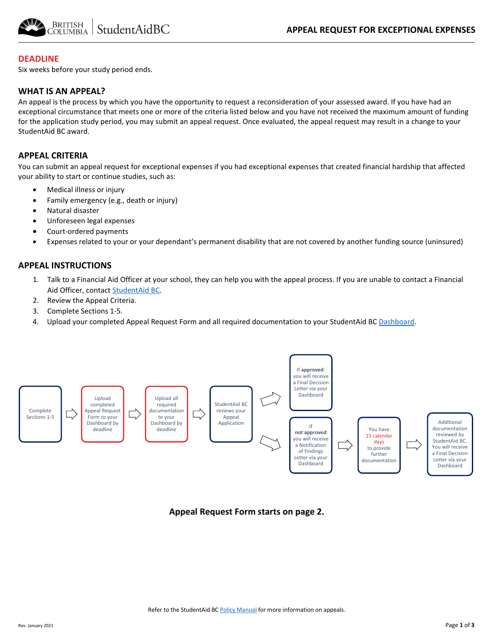

#### **DEADLINE**

Six weeks before your study period ends.

#### **WHAT IS AN APPEAL?**

An appeal is the process by which you have the opportunity to request a reconsideration of your assessed award. If you have had an exceptional circumstance that meets one or more of the criteria listed below and you have not received the maximum amount of funding for the application study period, you may submit an appeal request. Once evaluated, the appeal request may result in a change to your StudentAid BC award.

### **APPEAL CRITERIA**

You can submit an appeal request for exceptional expenses if you had exceptional expenses that created financial hardship that affected your ability to start or continue studies, such as:

- Medical illness or injury
- Family emergency (e.g., death or injury)
- Natural disaster
- Unforeseen legal expenses
- Court-ordered payments
- Expenses related to your or your dependant's permanent disability that are not covered by another funding source (uninsured)

### **APPEAL INSTRUCTIONS**

- 1. Talk to a Financial Aid Officer at your school, they can help you with the appeal process. If you are unable to contact a Financial Aid Officer, contac[t StudentAid BC.](https://studentaidbc.ca/contact-information)
- 2. Review the Appeal Criteria.
- 3. Complete Sections 1-5.
- 4. Upload your completed Appeal Request Form and all required documentation to your StudentAid BC [Dashboard.](https://studentaidbc.ca/dashboard)



**Appeal Request Form starts on page 2.**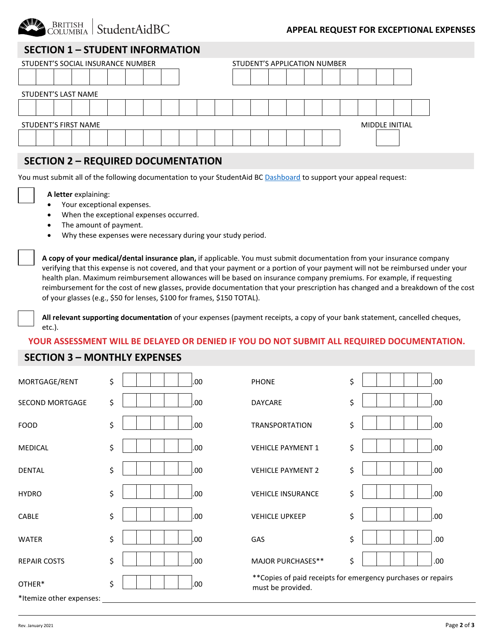

### **APPEAL REQUEST FOR EXCEPTIONAL EXPENSES**

### **SECTION 1 – STUDENT INFORMATION**

| STUDENT'S SOCIAL INSURANCE NUMBER      | STUDENT'S APPLICATION NUMBER |  |  |  |  |
|----------------------------------------|------------------------------|--|--|--|--|
|                                        |                              |  |  |  |  |
| STUDENT'S LAST NAME                    |                              |  |  |  |  |
|                                        |                              |  |  |  |  |
| STUDENT'S FIRST NAME<br>MIDDLE INITIAL |                              |  |  |  |  |
|                                        |                              |  |  |  |  |

# **SECTION 2 – REQUIRED DOCUMENTATION**

You must submit all of the following documentation to your StudentAid BC [Dashboard](https://studentaidbc.ca/dashboard) to support your appeal request:

**A letter** explaining:

- Your exceptional expenses.
- When the exceptional expenses occurred.
- The amount of payment.
- Why these expenses were necessary during your study period.

**A copy of your medical/dental insurance plan,** if applicable. You must submit documentation from your insurance company verifying that this expense is not covered, and that your payment or a portion of your payment will not be reimbursed under your health plan. Maximum reimbursement allowances will be based on insurance company premiums. For example, if requesting reimbursement for the cost of new glasses, provide documentation that your prescription has changed and a breakdown of the cost of your glasses (e.g., \$50 for lenses, \$100 for frames, \$150 TOTAL).

**All relevant supporting documentation** of your expenses (payment receipts, a copy of your bank statement, cancelled cheques, etc.).

#### **YOUR ASSESSMENT WILL BE DELAYED OR DENIED IF YOU DO NOT SUBMIT ALL REQUIRED DOCUMENTATION.**

### **SECTION 3 – MONTHLY EXPENSES**

| MORTGAGE/RENT          | \$<br>.00 | <b>PHONE</b>             | \$<br>.00                                                     |
|------------------------|-----------|--------------------------|---------------------------------------------------------------|
| <b>SECOND MORTGAGE</b> | \$<br>.00 | <b>DAYCARE</b>           | \$<br>.00                                                     |
| <b>FOOD</b>            | \$<br>.00 | <b>TRANSPORTATION</b>    | \$<br>.00                                                     |
| <b>MEDICAL</b>         | \$<br>.00 | <b>VEHICLE PAYMENT 1</b> | \$<br>.00                                                     |
| <b>DENTAL</b>          | \$<br>.00 | <b>VEHICLE PAYMENT 2</b> | \$<br>.00                                                     |
| <b>HYDRO</b>           | \$<br>.00 | <b>VEHICLE INSURANCE</b> | \$<br>.00                                                     |
| CABLE                  | \$<br>.00 | <b>VEHICLE UPKEEP</b>    | \$<br>.00                                                     |
| <b>WATER</b>           | \$<br>.00 | GAS                      | \$<br>.00                                                     |
| <b>REPAIR COSTS</b>    | \$<br>.00 | <b>MAJOR PURCHASES**</b> | \$<br>.00                                                     |
| OTHER*                 | \$<br>.00 | must be provided.        | ** Copies of paid receipts for emergency purchases or repairs |

\*Itemize other expenses: